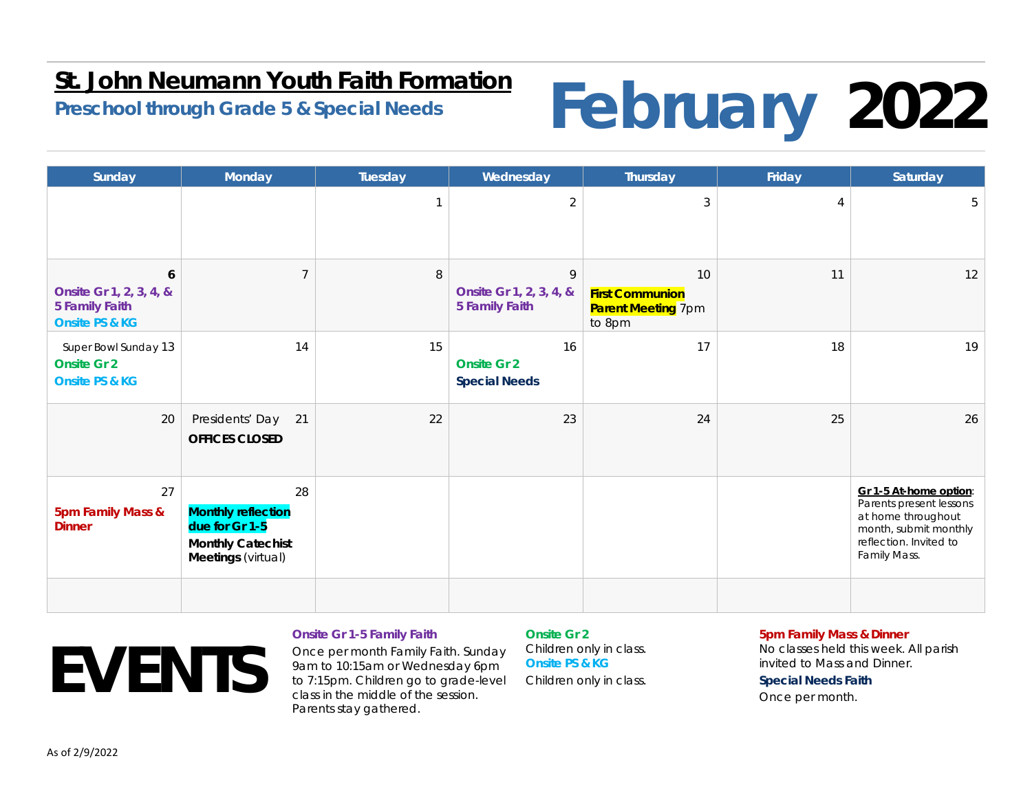### **St. John Neumann Youth Faith Formation**

# **Preschool through Grade 5 & Special Needs February 2022**

| Sunday                                                                             | Monday                                                                                              | Tuesday | Wednesday                                             | Thursday                                                            | Friday | Saturday                                                                                                                                   |
|------------------------------------------------------------------------------------|-----------------------------------------------------------------------------------------------------|---------|-------------------------------------------------------|---------------------------------------------------------------------|--------|--------------------------------------------------------------------------------------------------------------------------------------------|
|                                                                                    |                                                                                                     |         | $\overline{2}$                                        | $\mathfrak{Z}$                                                      | 4      | 5                                                                                                                                          |
| 6<br>Onsite Gr 1, 2, 3, 4, &<br><b>5 Family Faith</b><br><b>Onsite PS &amp; KG</b> | $\overline{7}$                                                                                      | $\,8\,$ | 9<br>Onsite Gr 1, 2, 3, 4, &<br><b>5 Family Faith</b> | 10<br><b>First Communion</b><br><b>Parent Meeting 7pm</b><br>to 8pm | 11     | 12                                                                                                                                         |
| Super Bowl Sunday 13<br><b>Onsite Gr 2</b><br><b>Onsite PS &amp; KG</b>            | 14                                                                                                  | 15      | 16<br><b>Onsite Gr 2</b><br><b>Special Needs</b>      | 17                                                                  | 18     | 19                                                                                                                                         |
| 20                                                                                 | 21<br>Presidents' Day<br><b>OFFICES CLOSED</b>                                                      | 22      | 23                                                    | 24                                                                  | 25     | 26                                                                                                                                         |
| 27<br>5pm Family Mass &<br><b>Dinner</b>                                           | 28<br><b>Monthly reflection</b><br>due for Gr 1-5<br><b>Monthly Catechist</b><br>Meetings (virtual) |         |                                                       |                                                                     |        | Gr 1-5 At-home option:<br>Parents present lessons<br>at home throughout<br>month, submit monthly<br>reflection. Invited to<br>Family Mass. |
|                                                                                    |                                                                                                     |         |                                                       |                                                                     |        |                                                                                                                                            |

# **EVENTS**

#### **Onsite Gr 1-5 Family Faith**

Once per month Family Faith. Sunday 9am to 10:15am or Wednesday 6pm to 7:15pm. Children go to grade-level class in the middle of the session. Parents stay gathered.

**Onsite Gr 2**Children only in class. **Onsite PS & KG**Children only in class.

#### **5pm Family Mass & Dinner**

No classes held this week. All parish invited to Mass and Dinner.

**Special Needs Faith**  Once per month.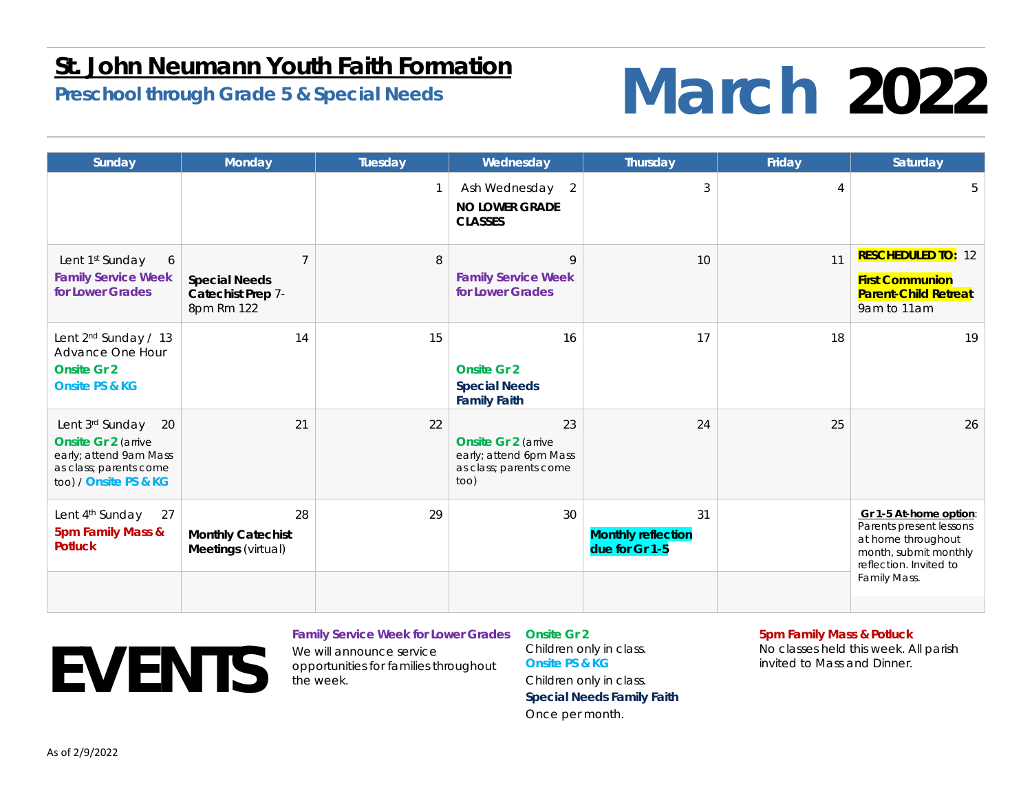### **St. John Neumann Youth Faith Formation**

## **Preschool through Grade 5 & Special Needs March** 2022

| Sunday                                                                                                                            | Monday                                                                    | <b>Tuesday</b> | Wednesday                                                                                    | Thursday                                          | Friday | Saturday                                                                                                                                   |
|-----------------------------------------------------------------------------------------------------------------------------------|---------------------------------------------------------------------------|----------------|----------------------------------------------------------------------------------------------|---------------------------------------------------|--------|--------------------------------------------------------------------------------------------------------------------------------------------|
|                                                                                                                                   |                                                                           |                | 2<br>Ash Wednesday<br><b>NO LOWER GRADE</b><br><b>CLASSES</b>                                | 3                                                 |        |                                                                                                                                            |
| Lent 1st Sunday<br>6<br><b>Family Service Week</b><br>for Lower Grades                                                            | $\overline{7}$<br><b>Special Needs</b><br>Catechist Prep 7-<br>8pm Rm 122 | 8              | 9<br><b>Family Service Week</b><br>for Lower Grades                                          | 10                                                | 11     | <b>RESCHEDULED TO: 12</b><br><b>First Communion</b><br><b>Parent-Child Retreat</b><br>9am to 11am                                          |
| Lent 2 <sup>nd</sup> Sunday / 13<br>Advance One Hour<br><b>Onsite Gr 2</b><br><b>Onsite PS &amp; KG</b>                           | 14                                                                        | 15             | 16<br><b>Onsite Gr 2</b><br><b>Special Needs</b><br><b>Family Faith</b>                      | 17                                                | 18     | 19                                                                                                                                         |
| 20<br>Lent 3rd Sunday<br><b>Onsite Gr 2 (arrive)</b><br>early; attend 9am Mass<br>as class; parents come<br>too) / Onsite PS & KG | 21                                                                        | 22             | 23<br><b>Onsite Gr 2 (arrive</b><br>early; attend 6pm Mass<br>as class; parents come<br>too) | 24                                                | 25     | 26                                                                                                                                         |
| Lent 4 <sup>th</sup> Sunday<br>27<br>5pm Family Mass &<br><b>Potluck</b>                                                          | 28<br><b>Monthly Catechist</b><br>Meetings (virtual)                      | 29             | 30                                                                                           | 31<br><b>Monthly reflection</b><br>due for Gr 1-5 |        | Gr 1-5 At-home option:<br>Parents present lessons<br>at home throughout<br>month, submit monthly<br>reflection. Invited to<br>Family Mass. |

# **EVENTS**

### **Family Service Week for Lower Grades**

We will announce service opportunities for families throughout the week.

**Onsite Gr 2**Children only in class. **Onsite PS & KG**Children only in class. **Special Needs Family Faith**  Once per month.

#### **5pm Family Mass & Potluck**

No classes held this week. All parish invited to Mass and Dinner.